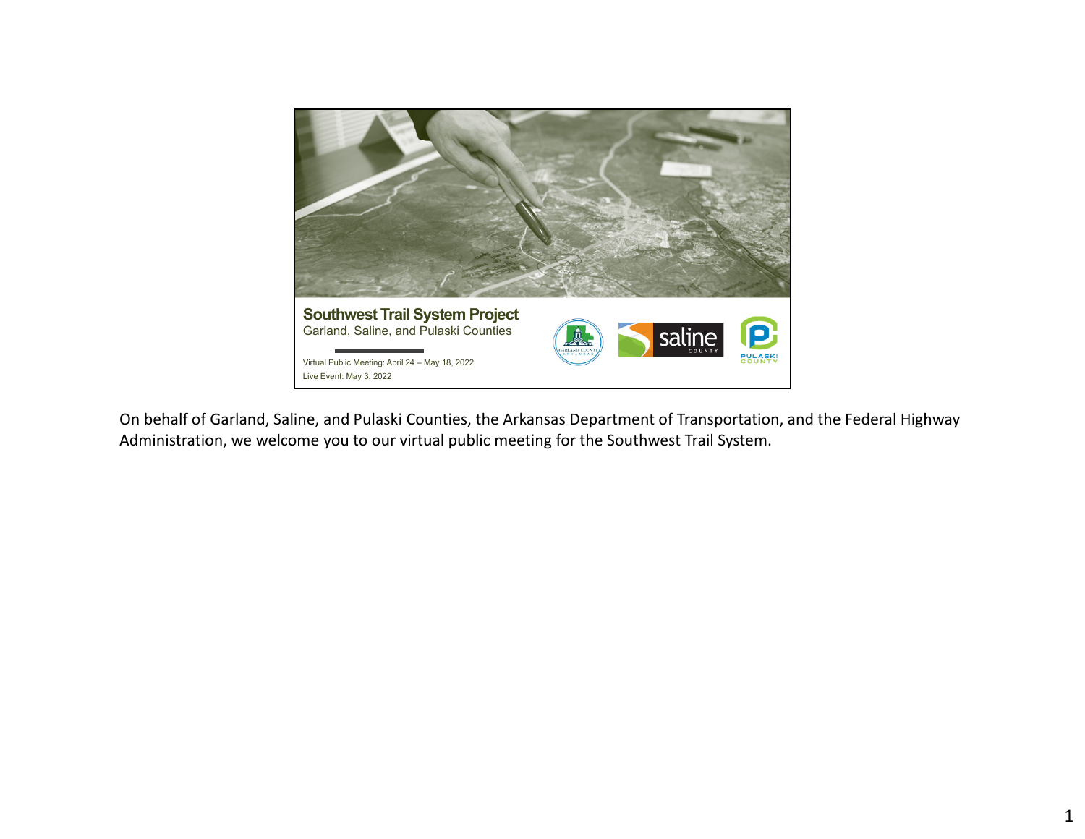

On behalf of Garland, Saline, and Pulaski Counties, the Arkansas Department of Transportation, and the Federal Highway Administration, we welcome you to our virtual public meeting for the Southwest Trail System.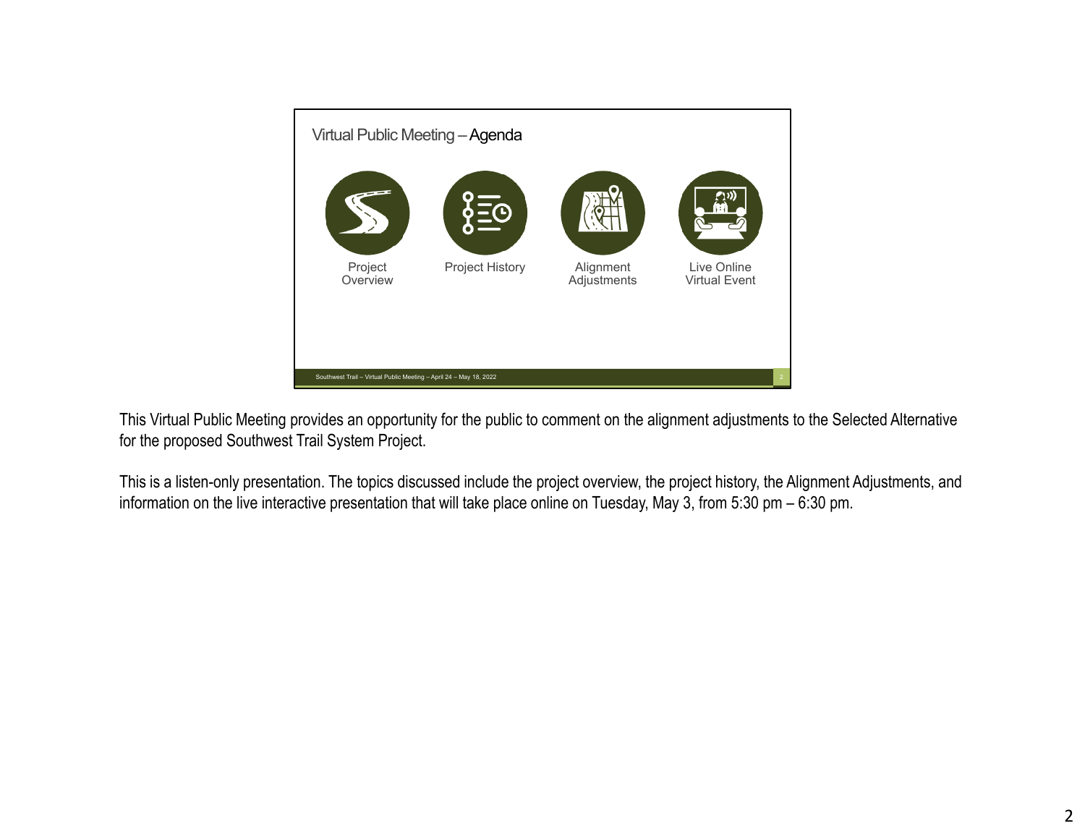

This Virtual Public Meeting provides an opportunity for the public to comment on the alignment adjustments to the Selected Alternative for the proposed Southwest Trail System Project.

This is a listen-only presentation. The topics discussed include the project overview, the project history, the Alignment Adjustments, and information on the live interactive presentation that will take place online on Tuesday, May 3, from 5:30 pm – 6:30 pm.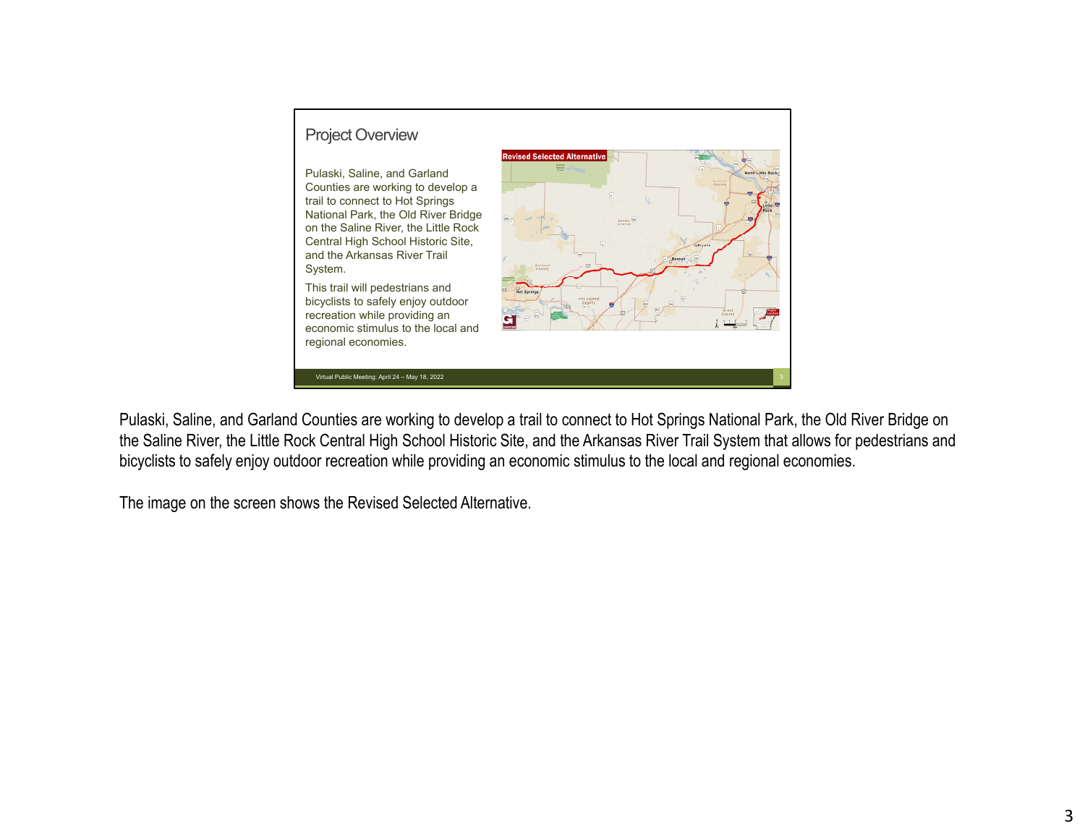

Pulaski, Saline, and Garland Counties are working to develop a trail to connect to Hot Springs National Park, the Old River Bridge on the Saline River, the Little Rock Central High School Historic Site, and the Arkansas River Trail System that allows for pedestrians and bicyclists to safely enjoy outdoor recreation while providing an economic stimulus to the local and regional economies.

The image on the screen shows the Revised Selected Alternative.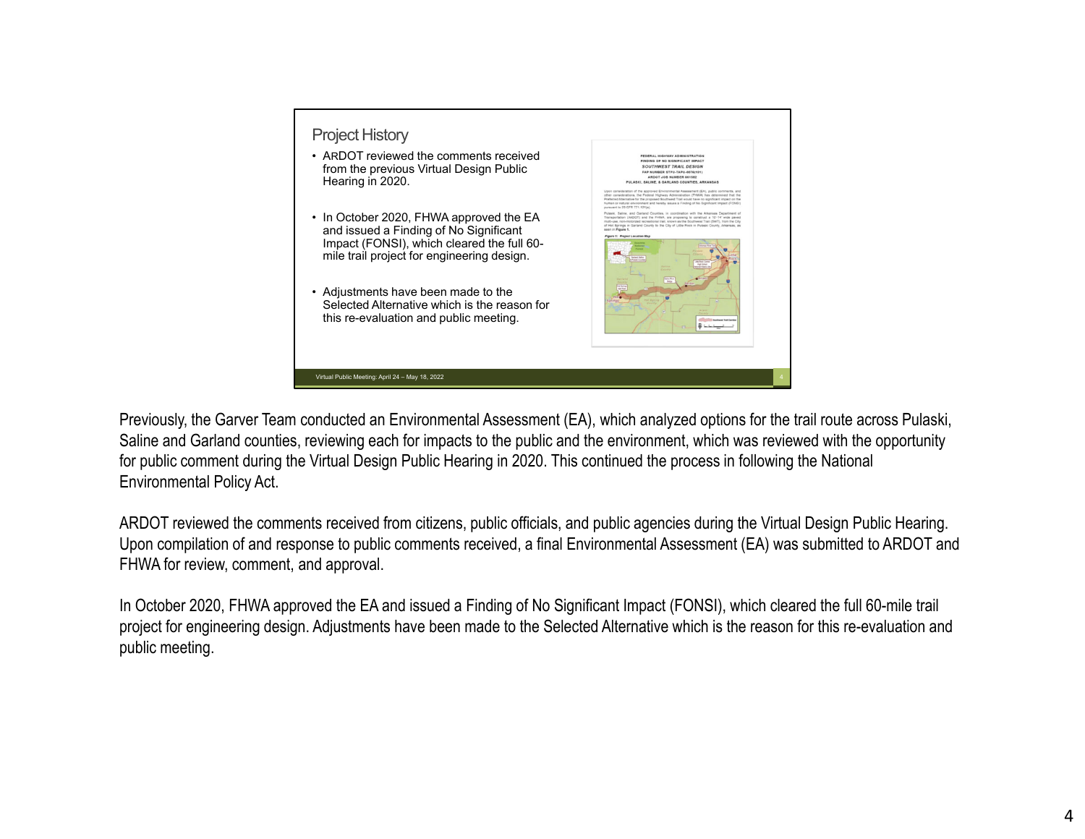| <b>Project History</b><br>• ARDOT reviewed the comments received<br>from the previous Virtual Design Public<br>Hearing in 2020.<br>• In October 2020, FHWA approved the EA<br>and issued a Finding of No Significant<br>Impact (FONSI), which cleared the full 60-<br>mile trail project for engineering design.<br>• Adjustments have been made to the<br>Selected Alternative which is the reason for<br>this re-evaluation and public meeting. | FEDERAL HIGHWAY ADMINISTRATION<br>FINDING OF NO SIGNIFICANT IMPACT<br><b>SOUTHWEST TRAIL DESIGN</b><br>FAP NUMBER STPU-TAPU-0076(181)<br>ARDOT JOB NUMBER 061562<br><b>PULASKI, SALINE, &amp; GARLAND COUNTIES, ARKANSAS</b><br>Upon consideration of the approved Environmental Assessment (EA), public comments, and<br>other considerations, the Federal Highway Administration (FHWA) has determined that the<br>Preferred Alternative for the proposed Southwest Trail would have no significant impact on the<br>human or natural environment and hereby issues a Finding of No Significant Impact (FONSI)<br>purpused to 23 CFR 771 121(a).<br>Pulaski, Saline, and Garland Counties, in coordination with the Arkansas Department of<br>Transportation (AKDOT) and the FHWA, are proposing to construct a 10'-14' wide payed<br>multi-use, non-motorized recreational trail, known as the Southwest Trail (SWT), from the City<br>of Hot Springs in Garland County to the City of Little Rock in Pulaski County, Arkansas, as<br>seen in Figure 1.<br>Figure 1: Project Location Max |
|---------------------------------------------------------------------------------------------------------------------------------------------------------------------------------------------------------------------------------------------------------------------------------------------------------------------------------------------------------------------------------------------------------------------------------------------------|----------------------------------------------------------------------------------------------------------------------------------------------------------------------------------------------------------------------------------------------------------------------------------------------------------------------------------------------------------------------------------------------------------------------------------------------------------------------------------------------------------------------------------------------------------------------------------------------------------------------------------------------------------------------------------------------------------------------------------------------------------------------------------------------------------------------------------------------------------------------------------------------------------------------------------------------------------------------------------------------------------------------------------------------------------------------------------------------|
| Virtual Public Meeting: April 24 - May 18, 2022                                                                                                                                                                                                                                                                                                                                                                                                   |                                                                                                                                                                                                                                                                                                                                                                                                                                                                                                                                                                                                                                                                                                                                                                                                                                                                                                                                                                                                                                                                                              |

Previously, the Garver Team conducted an Environmental Assessment (EA), which analyzed options for the trail route across Pulaski, Saline and Garland counties, reviewing each for impacts to the public and the environment, which was reviewed with the opportunity for public comment during the Virtual Design Public Hearing in 2020. This continued the process in following the National Environmental Policy Act.

ARDOT reviewed the comments received from citizens, public officials, and public agencies during the Virtual Design Public Hearing. Upon compilation of and response to public comments received, a final Environmental Assessment (EA) was submitted to ARDOT and FHWA for review, comment, and approval.

In October 2020, FHWA approved the EA and issued a Finding of No Significant Impact (FONSI), which cleared the full 60-mile trail project for engineering design. Adjustments have been made to the Selected Alternative which is the reason for this re-evaluation and public meeting.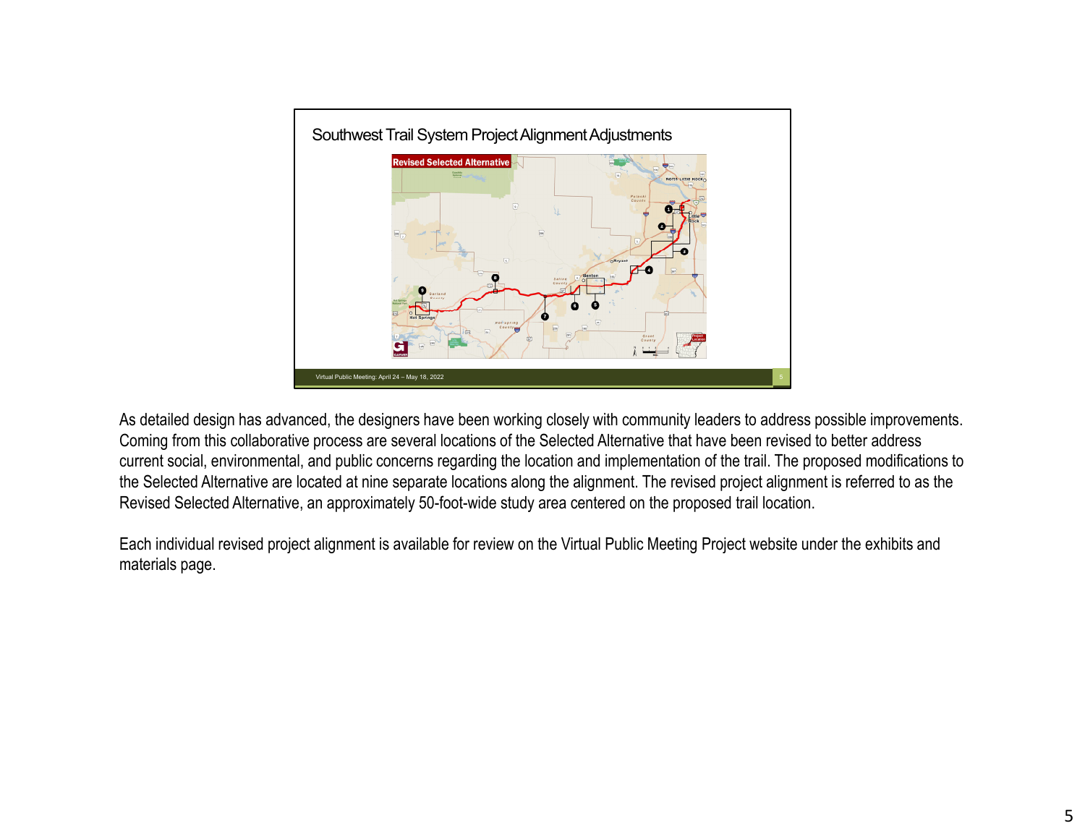

As detailed design has advanced, the designers have been working closely with community leaders to address possible improvements. Coming from this collaborative process are several locations of the Selected Alternative that have been revised to better address current social, environmental, and public concerns regarding the location and implementation of the trail. The proposed modifications to the Selected Alternative are located at nine separate locations along the alignment. The revised project alignment is referred to as the Revised Selected Alternative, an approximately 50-foot-wide study area centered on the proposed trail location.

Each individual revised project alignment is available for review on the Virtual Public Meeting Project website under the exhibits and materials page.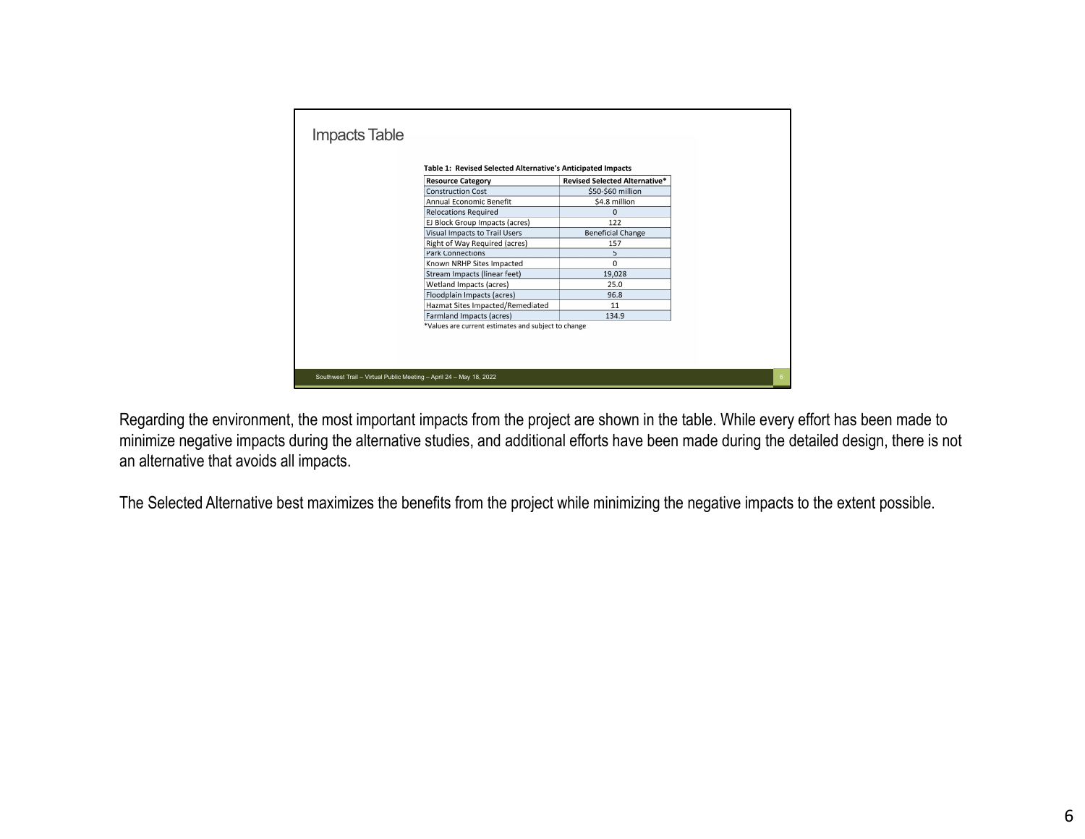| Table 1: Revised Selected Alternative's Anticipated Impacts<br><b>Resource Category</b> | <b>Revised Selected Alternative*</b> |  |
|-----------------------------------------------------------------------------------------|--------------------------------------|--|
| <b>Construction Cost</b>                                                                | \$50-\$60 million                    |  |
| Annual Fconomic Benefit                                                                 | \$4.8 million                        |  |
| <b>Relocations Required</b>                                                             | $\Omega$                             |  |
| EJ Block Group Impacts (acres)                                                          | 122                                  |  |
| Visual Impacts to Trail Users                                                           | <b>Beneficial Change</b>             |  |
| Right of Way Required (acres)                                                           | 157                                  |  |
| <b>Park Connections</b>                                                                 | 5                                    |  |
| Known NRHP Sites Impacted                                                               | $\Omega$                             |  |
| Stream Impacts (linear feet)                                                            | 19,028                               |  |
| Wetland Impacts (acres)                                                                 | 25.0                                 |  |
| Floodplain Impacts (acres)                                                              | 96.8                                 |  |
| Hazmat Sites Impacted/Remediated                                                        | 11                                   |  |
| Farmland Impacts (acres)                                                                | 134.9                                |  |
| *Values are current estimates and subject to change                                     |                                      |  |

Regarding the environment, the most important impacts from the project are shown in the table. While every effort has been made to minimize negative impacts during the alternative studies, and additional efforts have been made during the detailed design, there is not an alternative that avoids all impacts.

The Selected Alternative best maximizes the benefits from the project while minimizing the negative impacts to the extent possible.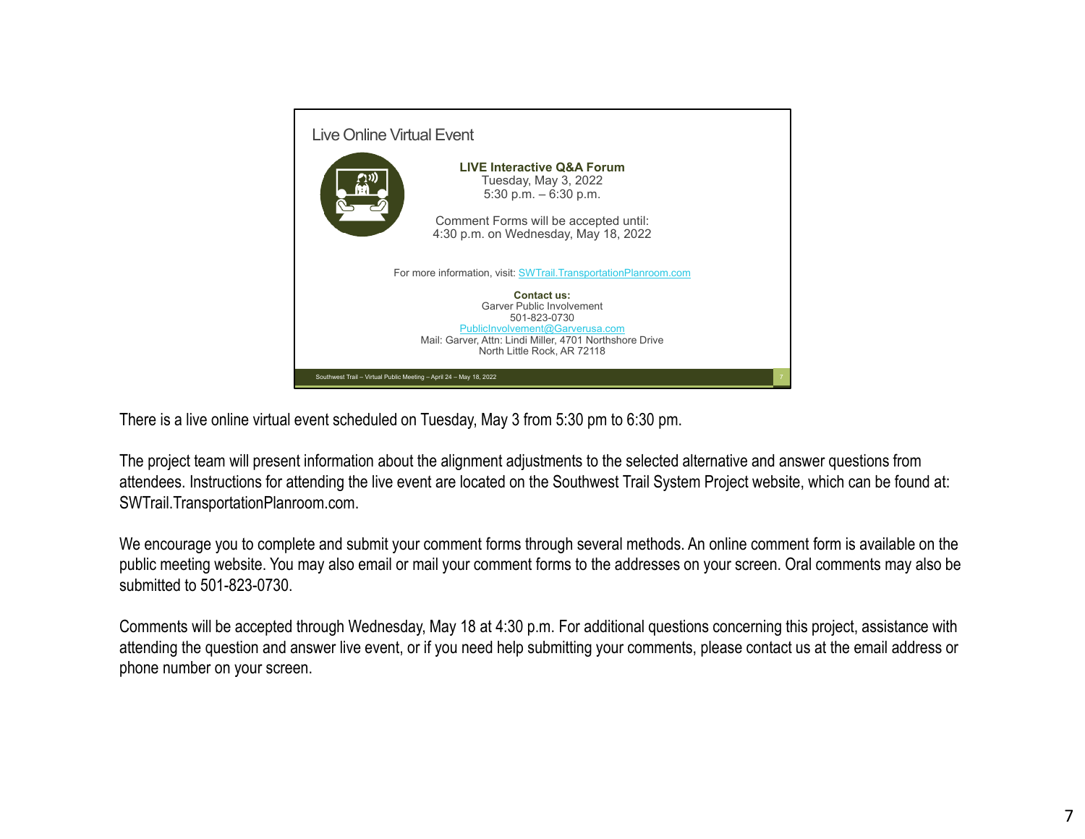

There is a live online virtual event scheduled on Tuesday, May 3 from 5:30 pm to 6:30 pm.

The project team will present information about the alignment adjustments to the selected alternative and answer questions from attendees. Instructions for attending the live event are located on the Southwest Trail System Project website, which can be found at: SWTrail.TransportationPlanroom.com.

We encourage you to complete and submit your comment forms through several methods. An online comment form is available on the public meeting website. You may also email or mail your comment forms to the addresses on your screen. Oral comments may also be submitted to 501-823-0730.

Comments will be accepted through Wednesday, May 18 at 4:30 p.m. For additional questions concerning this project, assistance with attending the question and answer live event, or if you need help submitting your comments, please contact us at the email address or phone number on your screen.